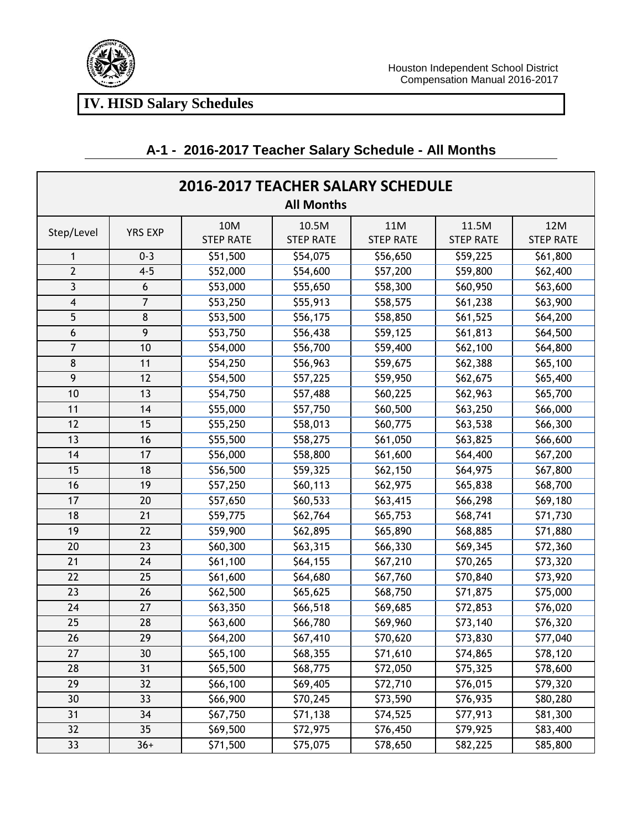

| <b>2016-2017 TEACHER SALARY SCHEDULE</b> |                |                  |                  |                  |                  |                  |  |  |
|------------------------------------------|----------------|------------------|------------------|------------------|------------------|------------------|--|--|
| <b>All Months</b>                        |                |                  |                  |                  |                  |                  |  |  |
| Step/Level                               | <b>YRS EXP</b> | 10M              | 10.5M            | 11M              | 11.5M            | 12M              |  |  |
|                                          |                | <b>STEP RATE</b> | <b>STEP RATE</b> | <b>STEP RATE</b> | <b>STEP RATE</b> | <b>STEP RATE</b> |  |  |
| 1                                        | $0 - 3$        | \$51,500         | \$54,075         | \$56,650         | \$59,225         | \$61,800         |  |  |
| $\overline{2}$                           | $4 - 5$        | \$52,000         | \$54,600         | \$57,200         | \$59,800         | \$62,400         |  |  |
| 3                                        | 6              | \$53,000         | \$55,650         | \$58,300         | \$60,950         | \$63,600         |  |  |
| $\overline{\mathbf{4}}$                  | $\overline{7}$ | \$53,250         | \$55,913         | \$58,575         | \$61,238         | \$63,900         |  |  |
| 5                                        | $\bf 8$        | \$53,500         | \$56,175         | \$58,850         | \$61,525         | \$64,200         |  |  |
| 6                                        | 9              | \$53,750         | \$56,438         | \$59,125         | \$61,813         | \$64,500         |  |  |
| 7                                        | 10             | \$54,000         | \$56,700         | \$59,400         | \$62,100         | \$64,800         |  |  |
| 8                                        | 11             | \$54,250         | \$56,963         | \$59,675         | \$62,388         | \$65,100         |  |  |
| 9                                        | 12             | \$54,500         | \$57,225         | \$59,950         | \$62,675         | \$65,400         |  |  |
| 10                                       | 13             | \$54,750         | \$57,488         | \$60,225         | \$62,963         | \$65,700         |  |  |
| 11                                       | 14             | \$55,000         | \$57,750         | \$60,500         | \$63,250         | \$66,000         |  |  |
| 12                                       | 15             | \$55,250         | \$58,013         | \$60,775         | \$63,538         | \$66,300         |  |  |
| 13                                       | 16             | \$55,500         | \$58,275         | \$61,050         | \$63,825         | \$66,600         |  |  |
| 14                                       | 17             | \$56,000         | \$58,800         | \$61,600         | \$64,400         | \$67,200         |  |  |
| 15                                       | 18             | \$56,500         | \$59,325         | \$62,150         | \$64,975         | \$67,800         |  |  |
| 16                                       | 19             | \$57,250         | \$60,113         | \$62,975         | \$65,838         | \$68,700         |  |  |
| 17                                       | 20             | \$57,650         | \$60,533         | \$63,415         | \$66,298         | \$69,180         |  |  |
| 18                                       | 21             | \$59,775         | \$62,764         | \$65,753         | \$68,741         | \$71,730         |  |  |
| 19                                       | 22             | \$59,900         | \$62,895         | \$65,890         | \$68,885         | \$71,880         |  |  |
| 20                                       | 23             | \$60,300         | \$63,315         | \$66,330         | \$69,345         | \$72,360         |  |  |
| 21                                       | 24             | \$61,100         | \$64,155         | \$67,210         | \$70,265         | \$73,320         |  |  |
| 22                                       | 25             | \$61,600         | \$64,680         | \$67,760         | \$70,840         | \$73,920         |  |  |
| 23                                       | 26             | \$62,500         | \$65,625         | \$68,750         | \$71,875         | \$75,000         |  |  |
| 24                                       | 27             | \$63,350         | \$66,518         | \$69,685         | \$72,853         | \$76,020         |  |  |
| 25                                       | 28             | \$63,600         | \$66,780         | \$69,960         | \$73,140         | \$76,320         |  |  |
| 26                                       | 29             | \$64,200         | \$67,410         | \$70,620         | \$73,830         | \$77,040         |  |  |
| 27                                       | 30             | \$65,100         | \$68,355         | \$71,610         | \$74,865         | \$78,120         |  |  |
| 28                                       | 31             | \$65,500         | \$68,775         | \$72,050         | \$75,325         | \$78,600         |  |  |
| 29                                       | 32             | \$66,100         | \$69,405         | \$72,710         | \$76,015         | \$79,320         |  |  |
| 30                                       | 33             | \$66,900         | \$70,245         | \$73,590         | \$76,935         | \$80,280         |  |  |
| 31                                       | 34             | \$67,750         | \$71,138         | \$74,525         | \$77,913         | \$81,300         |  |  |
| 32                                       | 35             | \$69,500         | \$72,975         | \$76,450         | \$79,925         | \$83,400         |  |  |
| 33                                       | $36+$          | \$71,500         | \$75,075         | \$78,650         | \$82,225         | \$85,800         |  |  |

## **A-1 - 2016-2017 Teacher Salary Schedule - All Months**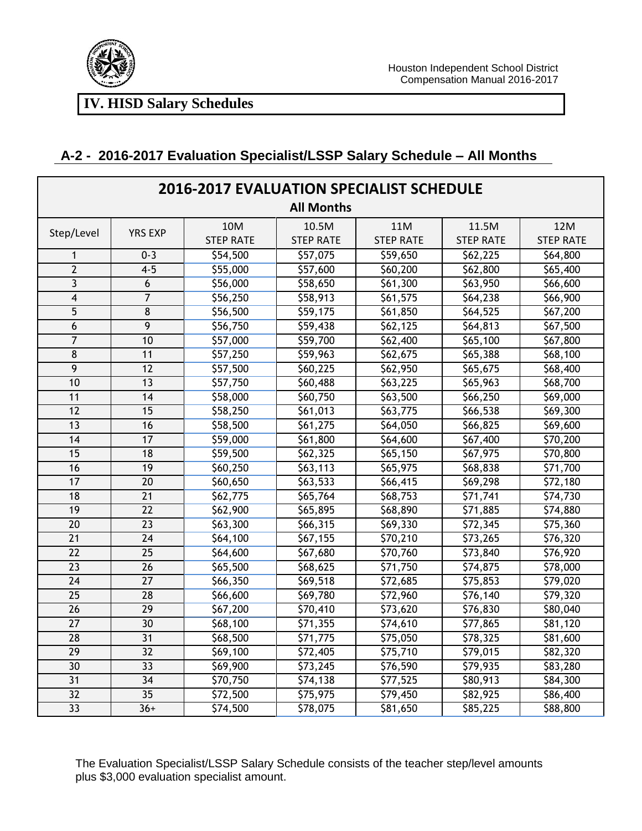

| <b>2016-2017 EVALUATION SPECIALIST SCHEDULE</b> |                 |                  |                  |                  |                       |                      |  |
|-------------------------------------------------|-----------------|------------------|------------------|------------------|-----------------------|----------------------|--|
|                                                 |                 |                  |                  |                  |                       |                      |  |
| Step/Level                                      | <b>YRS EXP</b>  | 10M              | 10.5M            | 11M              | 11.5M                 | 12M                  |  |
|                                                 |                 | <b>STEP RATE</b> | <b>STEP RATE</b> | <b>STEP RATE</b> | <b>STEP RATE</b>      | <b>STEP RATE</b>     |  |
| $\mathbf{1}$                                    | $0 - 3$         | \$54,500         | \$57,075         | \$59,650         | \$62,225              | \$64,800             |  |
| $\overline{2}$                                  | $4 - 5$         | \$55,000         | \$57,600         | \$60,200         | \$62,800              | \$65,400             |  |
| 3                                               | 6               | \$56,000         | \$58,650         | \$61,300         | \$63,950              | \$66,600             |  |
| $\overline{\mathbf{4}}$                         | $\overline{7}$  | \$56,250         | \$58,913         | \$61,575         | \$64,238              | \$66,900             |  |
| 5                                               | 8               | \$56,500         | \$59,175         | \$61,850         | \$64,525              | \$67,200             |  |
| 6                                               | 9               | \$56,750         | \$59,438         | \$62,125         | \$64,813              | \$67,500             |  |
| $\overline{7}$                                  | 10              | \$57,000         | \$59,700         | \$62,400         | \$65,100              | \$67,800             |  |
| 8                                               | 11              | \$57,250         | \$59,963         | \$62,675         | \$65,388              | \$68,100             |  |
| $\overline{9}$                                  | $\overline{12}$ | \$57,500         | \$60,225         | \$62,950         | \$65,675              | \$68,400             |  |
| 10                                              | 13              | \$57,750         | \$60,488         | \$63,225         | \$65,963              | \$68,700             |  |
| 11                                              | 14              | \$58,000         | \$60,750         | \$63,500         | \$66,250              | $\overline{569,000}$ |  |
| $\overline{12}$                                 | 15              | \$58,250         | \$61,013         | \$63,775         | \$66,538              | \$69,300             |  |
| 13                                              | 16              | \$58,500         | \$61,275         | \$64,050         | \$66,825              | \$69,600             |  |
| 14                                              | 17              | \$59,000         | \$61,800         | \$64,600         | \$67,400              | \$70,200             |  |
| 15                                              | 18              | \$59,500         | \$62,325         | \$65,150         | \$67,975              | \$70,800             |  |
| 16                                              | $\overline{19}$ | \$60,250         | \$63,113         | \$65,975         | \$68,838              | \$71,700             |  |
| 17                                              | $\overline{20}$ | \$60,650         | 563,533          | \$66,415         | \$69,298              | \$72,180             |  |
| 18                                              | 21              | \$62,775         | \$65,764         | \$68,753         | \$71,741              | \$74,730             |  |
| 19                                              | $\overline{22}$ | \$62,900         | 565,895          | \$68,890         | \$71,885              | \$74,880             |  |
| $\overline{20}$                                 | $\overline{23}$ | \$63,300         | \$66,315         | \$69,330         | 572,345               | \$75,360             |  |
| $\overline{21}$                                 | $\overline{24}$ | \$64,100         | \$67,155         | \$70,210         | \$73,265              | \$76,320             |  |
| 22                                              | 25              | \$64,600         | \$67,680         | \$70,760         | \$73,840              | \$76,920             |  |
| $\overline{23}$                                 | 26              | \$65,500         | \$68,625         | \$71,750         | \$74,875              | \$78,000             |  |
| $\overline{24}$                                 | 27              | \$66,350         | \$69,518         | \$72,685         | \$75,853              | \$79,020             |  |
| $\overline{25}$                                 | $\overline{28}$ | \$66,600         | \$69,780         | \$72,960         | $\overline{576, 140}$ | \$79,320             |  |
| 26                                              | 29              | \$67,200         | \$70,410         | \$73,620         | \$76,830              | \$80,040             |  |
| $\overline{27}$                                 | $\overline{30}$ | \$68,100         | \$71,355         | \$74,610         | $\overline{577,865}$  | \$81,120             |  |
| 28                                              | $\overline{31}$ | \$68,500         | \$71,775         | \$75,050         | \$78,325              | \$81,600             |  |
| 29                                              | 32              | \$69,100         | \$72,405         | \$75,710         | \$79,015              | \$82,320             |  |
| 30                                              | 33              | \$69,900         | \$73,245         | \$76,590         | \$79,935              | \$83,280             |  |
| $\overline{31}$                                 | $\overline{34}$ | \$70,750         | \$74,138         | \$77,525         | \$80,913              | \$84,300             |  |
| $\overline{32}$                                 | $\overline{35}$ | \$72,500         | \$75,975         | \$79,450         | \$82,925              | \$86,400             |  |
| $\overline{33}$                                 | $36+$           | \$74,500         | \$78,075         | \$81,650         | \$85,225              | \$88,800             |  |

## **A-2 - 2016-2017 Evaluation Specialist/LSSP Salary Schedule – All Months**

The Evaluation Specialist/LSSP Salary Schedule consists of the teacher step/level amounts plus \$3,000 evaluation specialist amount.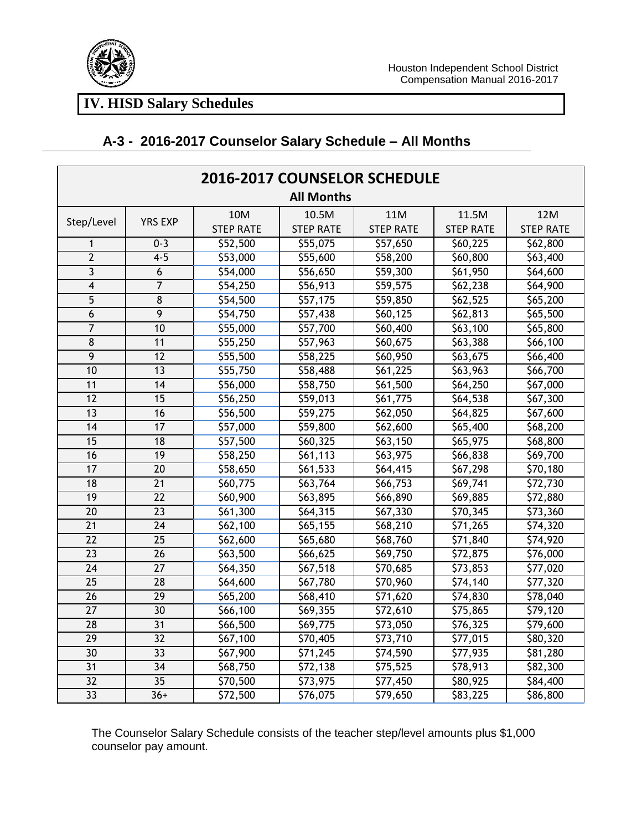

## **A-3 - 2016-2017 Counselor Salary Schedule – All Months**

| <b>2016-2017 COUNSELOR SCHEDULE</b> |                  |                  |                  |                  |                  |                      |  |
|-------------------------------------|------------------|------------------|------------------|------------------|------------------|----------------------|--|
| <b>All Months</b>                   |                  |                  |                  |                  |                  |                      |  |
| Step/Level                          |                  | 10M              | 10.5M            | 11M              | 11.5M            | <b>12M</b>           |  |
|                                     | <b>YRS EXP</b>   | <b>STEP RATE</b> | <b>STEP RATE</b> | <b>STEP RATE</b> | <b>STEP RATE</b> | <b>STEP RATE</b>     |  |
| $\mathbf{1}$                        | $0 - 3$          | \$52,500         | \$55,075         | \$57,650         | \$60,225         | \$62,800             |  |
| $\overline{2}$                      | $4 - 5$          | \$53,000         | \$55,600         | \$58,200         | \$60,800         | \$63,400             |  |
| 3                                   | $\boldsymbol{6}$ | \$54,000         | \$56,650         | \$59,300         | \$61,950         | \$64,600             |  |
| 4                                   | $\overline{7}$   | \$54,250         | \$56,913         | \$59,575         | \$62,238         | \$64,900             |  |
| 5                                   | 8                | \$54,500         | \$57,175         | \$59,850         | \$62,525         | \$65,200             |  |
| 6                                   | $\overline{9}$   | \$54,750         | \$57,438         | \$60,125         | \$62,813         | \$65,500             |  |
| $\overline{7}$                      | 10               | \$55,000         | \$57,700         | \$60,400         | \$63,100         | \$65,800             |  |
| 8                                   | 11               | \$55,250         | \$57,963         | \$60,675         | \$63,388         | \$66,100             |  |
| $\overline{9}$                      | $\overline{12}$  | \$55,500         | \$58,225         | \$60,950         | \$63,675         | \$66,400             |  |
| 10                                  | 13               | \$55,750         | \$58,488         | \$61,225         | \$63,963         | \$66,700             |  |
| 11                                  | 14               | \$56,000         | \$58,750         | \$61,500         | \$64,250         | \$67,000             |  |
| $\overline{12}$                     | 15               | \$56,250         | \$59,013         | \$61,775         | \$64,538         | \$67,300             |  |
| 13                                  | 16               | \$56,500         | \$59,275         | \$62,050         | \$64,825         | \$67,600             |  |
| 14                                  | 17               | \$57,000         | \$59,800         | \$62,600         | \$65,400         | \$68,200             |  |
| $\overline{15}$                     | 18               | \$57,500         | \$60,325         | \$63,150         | \$65,975         | \$68,800             |  |
| 16                                  | 19               | \$58,250         | \$61,113         | \$63,975         | \$66,838         | \$69,700             |  |
| $\overline{17}$                     | $\overline{20}$  | \$58,650         | \$61,533         | \$64,415         | \$67,298         | \$70,180             |  |
| 18                                  | $\overline{21}$  | \$60,775         | \$63,764         | \$66,753         | \$69,741         | \$72,730             |  |
| $\overline{19}$                     | $\overline{22}$  | \$60,900         | \$63,895         | \$66,890         | \$69,885         | \$72,880             |  |
| $\overline{20}$                     | $\overline{23}$  | \$61,300         | \$64,315         | \$67,330         | \$70,345         | $\overline{573,360}$ |  |
| 21                                  | $\overline{24}$  | \$62,100         | \$65,155         | \$68,210         | \$71,265         | \$74,320             |  |
| 22                                  | 25               | \$62,600         | \$65,680         | \$68,760         | \$71,840         | \$74,920             |  |
| $\overline{23}$                     | $\overline{26}$  | \$63,500         | \$66,625         | \$69,750         | \$72,875         | $\overline{57}6,000$ |  |
| $\overline{24}$                     | $\overline{27}$  | \$64,350         | \$67,518         | \$70,685         | \$73,853         | $\overline{577,020}$ |  |
| $\overline{25}$                     | $\overline{28}$  | \$64,600         | \$67,780         | \$70,960         | \$74,140         | \$77,320             |  |
| $\overline{26}$                     | $\overline{29}$  | \$65,200         | \$68,410         | \$71,620         | \$74,830         | \$78,040             |  |
| $\overline{27}$                     | $\overline{30}$  | \$66,100         | \$69,355         | \$72,610         | \$75,865         | 579,120              |  |
| $\overline{28}$                     | $\overline{31}$  | \$66,500         | \$69,775         | \$73,050         | \$76,325         | \$79,600             |  |
| 29                                  | 32               | \$67,100         | \$70,405         | \$73,710         | \$77,015         | \$80,320             |  |
| 30                                  | 33               | \$67,900         | \$71,245         | \$74,590         | \$77,935         | \$81,280             |  |
| 31                                  | 34               | \$68,750         | \$72,138         | \$75,525         | \$78,913         | \$82,300             |  |
| $\overline{32}$                     | $\overline{35}$  | \$70,500         | \$73,975         | \$77,450         | \$80,925         | \$84,400             |  |
| $\overline{33}$                     | $36+$            | \$72,500         | 576,075          | \$79,650         | \$83,225         | $\overline{$}86,800$ |  |

 The Counselor Salary Schedule consists of the teacher step/level amounts plus \$1,000 counselor pay amount.